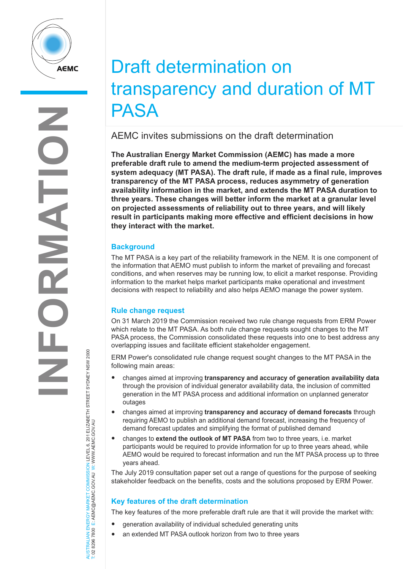

# Draft determination on transparency and duration of MT PASA

AEMC invites submissions on the draft determination

**The Australian Energy Market Commission (AEMC) has made a more preferable draft rule to amend the medium-term projected assessment of system adequacy (MT PASA). The draft rule, if made as a final rule, improves transparency of the MT PASA process, reduces asymmetry of generation availability information in the market, and extends the MT PASA duration to three years. These changes will better inform the market at a granular level on projected assessments of reliability out to three years, and will likely result in participants making more effective and efficient decisions in how they interact with the market.** 

## **Background**

The MT PASA is a key part of the reliability framework in the NEM. It is one component of the information that AEMO must publish to inform the market of prevailing and forecast conditions, and when reserves may be running low, to elicit a market response. Providing information to the market helps market participants make operational and investment decisions with respect to reliability and also helps AEMO manage the power system.

## **Rule change request**

On 31 March 2019 the Commission received two rule change requests from ERM Power which relate to the MT PASA. As both rule change requests sought changes to the MT PASA process, the Commission consolidated these requests into one to best address any overlapping issues and facilitate efficient stakeholder engagement.

ERM Power's consolidated rule change request sought changes to the MT PASA in the following main areas:

- changes aimed at improving **transparency and accuracy of generation availability data** through the provision of individual generator availability data, the inclusion of committed generation in the MT PASA process and additional information on unplanned generator outages
- changes aimed at improving **transparency and accuracy of demand forecasts** through requiring AEMO to publish an additional demand forecast, increasing the frequency of demand forecast updates and simplifying the format of published demand
- changes to **extend the outlook of MT PASA** from two to three years, i.e. market participants would be required to provide information for up to three years ahead, while AEMO would be required to forecast information and run the MT PASA process up to three years ahead.

The July 2019 consultation paper set out a range of questions for the purpose of seeking stakeholder feedback on the benefits, costs and the solutions proposed by ERM Power.

## **Key features of the draft determination**

The key features of the more preferable draft rule are that it will provide the market with:

- generation availability of individual scheduled generating units
- an extended MT PASA outlook horizon from two to three years

JERGY MARKET COMMISSION LEVEL 6, 201 ELIZABETH STREET SYDNEY NSW 2000<br>E: AEMC@AEMC.GOVAU W: WWW.AEMC.GOV.AU AUSTRALIAN ENERGY MARKET COMMISSION LEVEL 6, 201 ELIZABETH STREET SYDNEY NSW 2000 T: 02 8296 7800 E: AEMC@AEMC.GOV.AU W: WWW.AEMC.GOV.AU AUSTRALIAN ENERGY MARKET T: 02 8296 7800